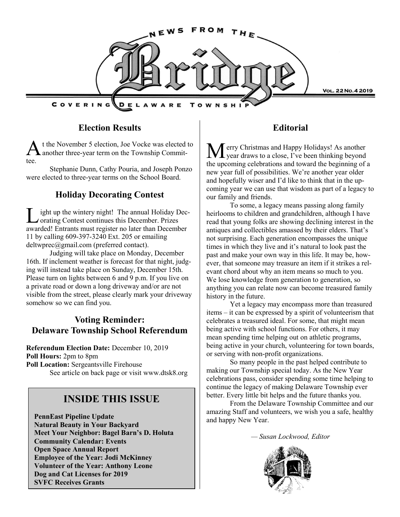

### **Election Results**

A t the November 5 election, Joe Vocke was elected<br>another three-year term on the Township Committ the November 5 election, Joe Vocke was elected to tee.

Stephanie Dunn, Cathy Pouria, and Joseph Ponzo were elected to three-year terms on the School Board.

### **Holiday Decorating Contest**

L ight up the wintery night! The annual Holiday Decorating Contest continues this December. Prizes awarded! Entrants must register no later than December 11 by calling 609-397-3240 Ext. 205 or emailing deltwprec@gmail.com (preferred contact).

Judging will take place on Monday, December 16th. If inclement weather is forecast for that night, judging will instead take place on Sunday, December 15th. Please turn on lights between 6 and 9 p.m. If you live on a private road or down a long driveway and/or are not visible from the street, please clearly mark your driveway somehow so we can find you.

### **Voting Reminder: Delaware Township School Referendum**

**Referendum Election Date:** December 10, 2019 **Poll Hours:** 2pm to 8pm **Poll Location:** Sergeantsville Firehouse See article on back page or visit www.dtsk8.org

# **INSIDE THIS ISSUE**

**PennEast Pipeline Update Natural Beauty in Your Backyard Meet Your Neighbor: Bagel Barn's D. Holuta Community Calendar: Events Open Space Annual Report Employee of the Year: Jodi McKinney Volunteer of the Year: Anthony Leone Dog and Cat Licenses for 2019 SVFC Receives Grants**

### **Editorial**

erry Christmas and Happy Holidays! As another year draws to a close, I've been thinking beyond the upcoming celebrations and toward the beginning of a new year full of possibilities. We're another year older and hopefully wiser and I'd like to think that in the upcoming year we can use that wisdom as part of a legacy to our family and friends.

To some, a legacy means passing along family heirlooms to children and grandchildren, although I have read that young folks are showing declining interest in the antiques and collectibles amassed by their elders. That's not surprising. Each generation encompasses the unique times in which they live and it's natural to look past the past and make your own way in this life. It may be, however, that someone may treasure an item if it strikes a relevant chord about why an item means so much to you. We lose knowledge from generation to generation, so anything you can relate now can become treasured family history in the future.

Yet a legacy may encompass more than treasured items – it can be expressed by a spirit of volunteerism that celebrates a treasured ideal. For some, that might mean being active with school functions. For others, it may mean spending time helping out on athletic programs, being active in your church, volunteering for town boards, or serving with non-profit organizations.

So many people in the past helped contribute to making our Township special today. As the New Year celebrations pass, consider spending some time helping to continue the legacy of making Delaware Township ever better. Every little bit helps and the future thanks you.

From the Delaware Township Committee and our amazing Staff and volunteers, we wish you a safe, healthy and happy New Year.

*— Susan Lockwood, Editor*

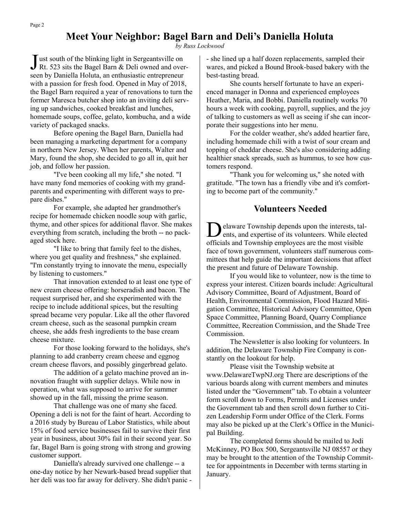# **Meet Your Neighbor: Bagel Barn and Deli's Daniella Holuta**

*by Russ Lockwood*

**J** ust south of the blinking light in Sergeantsville on Rt. 523 sits the Bagel Barn & Deli owned and over Rt. 523 sits the Bagel Barn & Deli owned and overseen by Daniella Holuta, an enthusiastic entrepreneur with a passion for fresh food. Opened in May of 2018, the Bagel Barn required a year of renovations to turn the former Maresca butcher shop into an inviting deli serving up sandwiches, cooked breakfast and lunches, homemade soups, coffee, gelato, kombucha, and a wide variety of packaged snacks.

Before opening the Bagel Barn, Daniella had been managing a marketing department for a company in northern New Jersey. When her parents, Walter and Mary, found the shop, she decided to go all in, quit her job, and follow her passion.

"I've been cooking all my life," she noted. "I have many fond memories of cooking with my grandparents and experimenting with different ways to prepare dishes."

For example, she adapted her grandmother's recipe for homemade chicken noodle soup with garlic, thyme, and other spices for additional flavor. She makes everything from scratch, including the broth -- no packaged stock here.

"I like to bring that family feel to the dishes, where you get quality and freshness," she explained. "I'm constantly trying to innovate the menu, especially by listening to customers."

That innovation extended to at least one type of new cream cheese offering: horseradish and bacon. The request surprised her, and she experimented with the recipe to include additional spices, but the resulting spread became very popular. Like all the other flavored cream cheese, such as the seasonal pumpkin cream cheese, she adds fresh ingredients to the base cream cheese mixture.

For those looking forward to the holidays, she's planning to add cranberry cream cheese and eggnog cream cheese flavors, and possibly gingerbread gelato.

The addition of a gelato machine proved an innovation fraught with supplier delays. While now in operation, what was supposed to arrive for summer showed up in the fall, missing the prime season.

That challenge was one of many she faced. Opening a deli is not for the faint of heart. According to a 2016 study by Bureau of Labor Statistics, while about 15% of food service businesses fail to survive their first year in business, about 30% fail in their second year. So far, Bagel Barn is going strong with strong and growing customer support.

Daniella's already survived one challenge -- a one-day notice by her Newark-based bread supplier that her deli was too far away for delivery. She didn't panic -

- she lined up a half dozen replacements, sampled their wares, and picked a Bound Brook-based bakery with the best-tasting bread.

She counts herself fortunate to have an experienced manager in Donna and experienced employees Heather, Maria, and Bobbi. Daniella routinely works 70 hours a week with cooking, payroll, supplies, and the joy of talking to customers as well as seeing if she can incorporate their suggestions into her menu.

For the colder weather, she's added heartier fare, including homemade chili with a twist of sour cream and topping of cheddar cheese. She's also considering adding healthier snack spreads, such as hummus, to see how customers respond.

"Thank you for welcoming us," she noted with gratitude. "The town has a friendly vibe and it's comforting to become part of the community."

### **Volunteers Needed**

 $\overline{\mathbf{D}}$ elaware Township depends upon the interests, talents, and expertise of its volunteers. While elected officials and Township employees are the most visible face of town government, volunteers staff numerous committees that help guide the important decisions that affect the present and future of Delaware Township.

If you would like to volunteer, now is the time to express your interest. Citizen boards include: Agricultural Advisory Committee, Board of Adjustment, Board of Health, Environmental Commission, Flood Hazard Mitigation Committee, Historical Advisory Committee, Open Space Committee, Planning Board, Quarry Compliance Committee, Recreation Commission, and the Shade Tree Commission.

The Newsletter is also looking for volunteers. In addition, the Delaware Township Fire Company is constantly on the lookout for help.

Please visit the Township website at www.DelawareTwpNJ.org There are descriptions of the various boards along with current members and minutes listed under the "Government" tab. To obtain a volunteer form scroll down to Forms, Permits and Licenses under the Government tab and then scroll down further to Citizen Leadership Form under Office of the Clerk. Forms may also be picked up at the Clerk's Office in the Municipal Building.

The completed forms should be mailed to Jodi McKinney, PO Box 500, Sergeantsville NJ 08557 or they may be brought to the attention of the Township Committee for appointments in December with terms starting in January.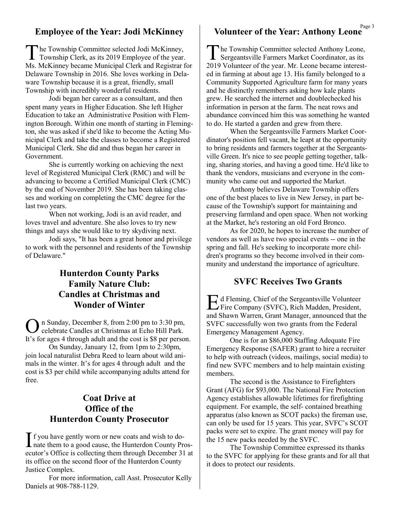### **Employee of the Year: Jodi McKinney**

The Township Committee selected Jodi McKinney,<br>Township Clerk, as its 2019 Employee of the year. he Township Committee selected Jodi McKinney, Ms. McKinney became Municipal Clerk and Registrar for Delaware Township in 2016. She loves working in Delaware Township because it is a great, friendly, small Township with incredibly wonderful residents.

Jodi began her career as a consultant, and then spent many years in Higher Education. She left Higher Education to take an Administrative Position with Flemington Borough. Within one month of starting in Flemington, she was asked if she'd like to become the Acting Municipal Clerk and take the classes to become a Registered Municipal Clerk. She did and thus began her career in Government.

She is currently working on achieving the next level of Registered Municipal Clerk (RMC) and will be advancing to become a Certified Municipal Clerk (CMC) by the end of November 2019. She has been taking classes and working on completing the CMC degree for the last two years.

When not working, Jodi is an avid reader, and loves travel and adventure. She also loves to try new things and says she would like to try skydiving next.

Jodi says, "It has been a great honor and privilege to work with the personnel and residents of the Township of Delaware."

### **Hunterdon County Parks Family Nature Club: Candles at Christmas and Wonder of Winter**

O n Sunday, December 8, from 2:00 pm to 3:30 pm, celebrate Candles at Christmas at Echo Hill Park. It's for ages 4 through adult and the cost is \$8 per person.

On Sunday, January 12, from 1pm to 2:30pm, join local naturalist Debra Reed to learn about wild animals in the winter. It's for ages 4 through adult and the cost is \$3 per child while accompanying adults attend for free.

### **Coat Drive at Office of the Hunterdon County Prosecutor**

If you have gently worn or new coats and wish to do-<br>hate them to a good cause, the Hunterdon County Pr nate them to a good cause, the Hunterdon County Prosecutor's Office is collecting them through December 31 at its office on the second floor of the Hunterdon County Justice Complex.

For more information, call Asst. Prosecutor Kelly Daniels at 908-788-1129.

### **Volunteer of the Year: Anthony Leone**

The Township Committee selected Anthony Leone,<br>Sergeantsville Farmers Market Coordinator, as its he Township Committee selected Anthony Leone, 2019 Volunteer of the year. Mr. Leone became interested in farming at about age 13. His family belonged to a Community Supported Agriculture farm for many years and he distinctly remembers asking how kale plants grew. He searched the internet and doublechecked his information in person at the farm. The neat rows and abundance convinced him this was something he wanted to do. He started a garden and grew from there.

When the Sergeantsville Farmers Market Coordinator's position fell vacant, he leapt at the opportunity to bring residents and farmers together at the Sergeantsville Green. It's nice to see people getting together, talking, sharing stories, and having a good time. He'd like to thank the vendors, musicians and everyone in the community who came out and supported the Market.

Anthony believes Delaware Township offers one of the best places to live in New Jersey, in part because of the Township's support for maintaining and preserving farmland and open space. When not working at the Market, he's restoring an old Ford Bronco.

As for 2020, he hopes to increase the number of vendors as well as have two special events -- one in the spring and fall. He's seeking to incorporate more children's programs so they become involved in their community and understand the importance of agriculture.

### **SVFC Receives Two Grants**

Ed Fleming, Chief of the Sergeantsville Volunteer<br>Fire Company (SVFC), Rich Madden, President, Fire Company (SVFC), Rich Madden, President, and Shawn Warren, Grant Manager, announced that the SVFC successfully won two grants from the Federal Emergency Management Agency.

One is for an \$86,000 Staffing Adequate Fire Emergency Response (SAFER) grant to hire a recruiter to help with outreach (videos, mailings, social media) to find new SVFC members and to help maintain existing members.

The second is the Assistance to Firefighters Grant (AFG) for \$93,000. The National Fire Protection Agency establishes allowable lifetimes for firefighting equipment. For example, the self- contained breathing apparatus (also known as SCOT packs) the fireman use, can only be used for 15 years. This year, SVFC's SCOT packs were set to expire. The grant money will pay for the 15 new packs needed by the SVFC.

The Township Committee expressed its thanks to the SVFC for applying for these grants and for all that it does to protect our residents.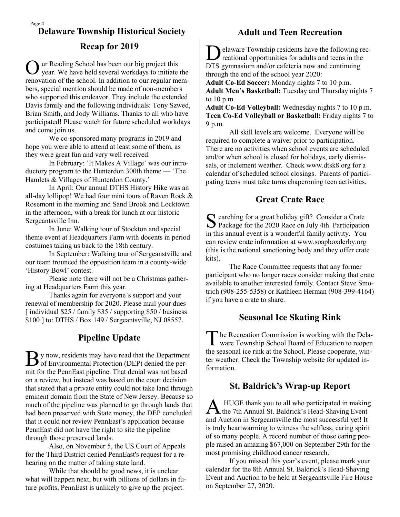# **Recap for 2019 Delaware Township Historical Society <b>Adult and Teen Recreation**

O ur Reading School has been our big project this year. We have held several workdays to initiate the renovation of the school. In addition to our regular members, special mention should be made of non-members who supported this endeavor. They include the extended Davis family and the following individuals: Tony Szwed, Brian Smith, and Jody Williams. Thanks to all who have participated! Please watch for future scheduled workdays and come join us.

We co-sponsored many programs in 2019 and hope you were able to attend at least some of them, as they were great fun and very well received.

In February: 'It Makes A Village' was our introductory program to the Hunterdon 300th theme — 'The Hamlets & Villages of Hunterdon County.'

In April: Our annual DTHS History Hike was an all-day lollipop! We had four mini tours of Raven Rock & Rosemont in the morning and Sand Brook and Locktown in the afternoon, with a break for lunch at our historic Sergeantsville Inn.

In June: Walking tour of Stockton and special theme event at Headquarters Farm with docents in period costumes taking us back to the 18th century.

In September: Walking tour of Sergeanstville and our team trounced the opposition team in a county-wide 'History Bowl' contest.

Please note there will not be a Christmas gathering at Headquarters Farm this year.

Thanks again for everyone's support and your renewal of membership for 2020. Please mail your dues [individual \$25 / family \$35 / supporting \$50 / business \$100 ] to: DTHS / Box 149 / Sergeantsville, NJ 08557.

# **Pipeline Update**

By now, residents may have read that the Department<br>of Environmental Protection (DEP) denied the perof Environmental Protection (DEP) denied the permit for the PennEast pipeline. That denial was not based on a review, but instead was based on the court decision that stated that a private entity could not take land through eminent domain from the State of New Jersey. Because so much of the pipeline was planned to go through lands that had been preserved with State money, the DEP concluded that it could not review PennEast's application because PennEast did not have the right to site the pipeline through those preserved lands.

Also, on November 5, the US Court of Appeals for the Third District denied PennEast's request for a rehearing on the matter of taking state land.

While that should be good news, it is unclear what will happen next, but with billions of dollars in future profits, PennEast is unlikely to give up the project.

Delaware Township residents have the following relational opportunities for adults and teens in the elaware Township residents have the following rec-DTS gymnasium and/or cafeteria now and continuing through the end of the school year 2020:

**Adult Co-Ed Soccer:** Monday nights 7 to 10 p.m. **Adult Men's Basketball:** Tuesday and Thursday nights 7 to 10 p.m.

**Adult Co-Ed Volleyball:** Wednesday nights 7 to 10 p.m. **Teen Co-Ed Volleyball or Basketball:** Friday nights 7 to 9 p.m.

All skill levels are welcome. Everyone will be required to complete a waiver prior to participation. There are no activities when school events are scheduled and/or when school is closed for holidays, early dismissals, or inclement weather. Check www.dtsk8.org for a calendar of scheduled school closings. Parents of participating teens must take turns chaperoning teen activities.

### **Great Crate Race**

Searching for a great holiday gift? Consider a Crate<br>Package for the 2020 Race on July 4th. Participation Package for the 2020 Race on July 4th. Participation in this annual event is a wonderful family activity. You can review crate information at www.soapboxderby.org (this is the national sanctioning body and they offer crate kits).

The Race Committee requests that any former participant who no longer races consider making that crate available to another interested family. Contact Steve Smotrich (908-255-5358) or Kathleen Herman (908-399-4164) if you have a crate to share.

### **Seasonal Ice Skating Rink**

The Recreation Commission is working with the Dela-<br>ware Township School Board of Education to reopen he Recreation Commission is working with the Delathe seasonal ice rink at the School. Please cooperate, winter weather. Check the Township website for updated information.

### **St. Baldrick's Wrap-up Report**

A HUGE thank you to all who participated in making<br>the 7th Annual St. Baldrick's Head-Shaving Event HUGE thank you to all who participated in making and Auction in Sergeantsville the most successful yet! It is truly heartwarming to witness the selfless, caring spirit of so many people. A record number of those caring people raised an amazing \$67,000 on September 29th for the most promising childhood cancer research.

If you missed this year's event, please mark your calendar for the 8th Annual St. Baldrick's Head-Shaving Event and Auction to be held at Sergeantsville Fire House on September 27, 2020.

Page 4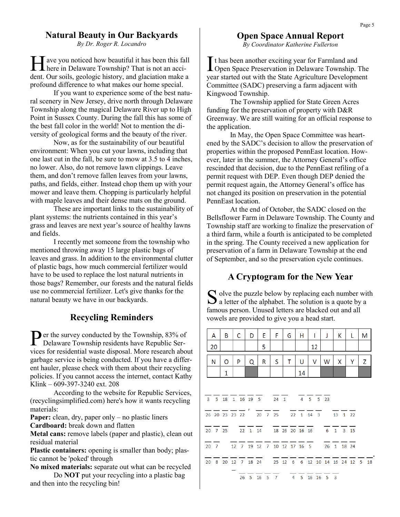### **Natural Beauty in Our Backyards**

*By Dr. Roger R. Locandro*

H ave you noticed how beautiful it has been this fall here in Delaware Township? That is not an acciave you noticed how beautiful it has been this fall dent. Our soils, geologic history, and glaciation make a profound difference to what makes our home special.

If you want to experience some of the best natural scenery in New Jersey, drive north through Delaware Township along the magical Delaware River up to High Point in Sussex County. During the fall this has some of the best fall color in the world! Not to mention the diversity of geological forms and the beauty of the river.

Now, as for the sustainability of our beautiful environment: When you cut your lawns, including that one last cut in the fall, be sure to mow at 3.5 to 4 inches, no lower. Also, do not remove lawn clippings. Leave them, and don't remove fallen leaves from your lawns, paths, and fields, either. Instead chop them up with your mower and leave them. Chopping is particularly helpful with maple leaves and their dense mats on the ground.

These are important links to the sustainability of plant systems: the nutrients contained in this year's grass and leaves are next year's source of healthy lawns and fields.

I recently met someone from the township who mentioned throwing away 15 large plastic bags of leaves and grass. In addition to the environmental clutter of plastic bags, how much commercial fertilizer would have to be used to replace the lost natural nutrients in those bags? Remember, our forests and the natural fields use no commercial fertilizer. Let's give thanks for the natural beauty we have in our backyards.

### **Recycling Reminders**

Per the survey conducted by the Township, 83% of<br>Delaware Township residents have Republic Ser-Delaware Township residents have Republic Services for residential waste disposal. More research about garbage service is being conducted. If you have a different hauler, please check with them about their recycling policies. If you cannot access the internet, contact Kathy Klink – 609-397-3240 ext. 208

According to the website for Republic Services, (recyclingsimplified.com) here's how it wants recycling materials:

**Paper:** clean, dry, paper only – no plastic liners **Cardboard:** break down and flatten

**Metal cans:** remove labels (paper and plastic), clean out residual material

**Plastic containers:** opening is smaller than body; plastic cannot be 'poked' through

**No mixed materials:** separate out what can be recycled Do **NOT** put your recycling into a plastic bag and then into the recycling bin!

# **Open Space Annual Report**

*By Coordinator Katherine Fullerton*

It has been another exciting year for Farmland and Open Space Preservation in Delaware Township. **L** Open Space Preservation in Delaware Township. The year started out with the State Agriculture Development Committee (SADC) preserving a farm adjacent with Kingwood Township.

The Township applied for State Green Acres funding for the preservation of property with D&R Greenway. We are still waiting for an official response to the application.

In May, the Open Space Committee was heartened by the SADC's decision to allow the preservation of properties within the proposed PennEast location. However, later in the summer, the Attorney General's office rescinded that decision, due to the PennEast refiling of a permit request with DEP. Even though DEP denied the permit request again, the Attorney General's office has not changed its position on preservation in the potential PennEast location.

At the end of October, the SADC closed on the Bellsflower Farm in Delaware Township. The County and Township staff are working to finalize the preservation of a third farm, while a fourth is anticipated to be completed in the spring. The County received a new application for preservation of a farm in Delaware Township at the end of September, and so the preservation cycle continues.

### **A Cryptogram for the New Year**

S olve the puzzle below by replacing each number with a letter of the alphabet. The solution is a quote by a  $\Box$  a letter of the alphabet. The solution is a quote by a famous person. Unused letters are blacked out and all vowels are provided to give you a head start.

|    | A | B |   | С     | D | E | F.                                         |   | G | H  |  | $\mathbf{I}$ | T |   | К | L                                                   | M |  |
|----|---|---|---|-------|---|---|--------------------------------------------|---|---|----|--|--------------|---|---|---|-----------------------------------------------------|---|--|
| 20 |   |   |   |       |   | 5 |                                            |   |   | 12 |  |              |   |   |   |                                                     |   |  |
| N  |   | O | P |       | Q | R | S                                          | т |   | U  |  | V            | W | X |   | Y                                                   | Ζ |  |
|    |   | 1 |   |       |   |   |                                            |   |   | 14 |  |              |   |   |   |                                                     |   |  |
|    |   |   |   |       |   |   |                                            |   |   |    |  |              |   |   |   |                                                     |   |  |
|    |   |   |   |       |   |   | 3 5 18 1 16 19 5 24 1 4 5 5 23             |   |   |    |  |              |   |   |   |                                                     |   |  |
|    |   |   |   | — — ' |   |   | 26 20 23 23 22 20 7 25 22 1 14 3 13 1 22   |   |   |    |  |              |   |   |   |                                                     |   |  |
|    |   |   |   |       |   |   | 20 7 25 22 1 14 18 26 20 16 16 6 1 3 15    |   |   |    |  |              |   |   |   |                                                     |   |  |
|    |   |   |   |       |   |   | 20 7 12 7 19 12 7 10 12 17 16 5 26 1 18 24 |   |   |    |  |              |   |   |   |                                                     |   |  |
|    |   |   |   |       |   |   |                                            |   |   |    |  |              |   |   |   | 20 8 20 12 7 18 24 25 12 6 6 12 10 14 16 24 12 5 18 |   |  |
|    |   |   |   |       |   |   | 26 5 16 5 7 4 5 16 16 5 3                  |   |   |    |  |              |   |   |   |                                                     |   |  |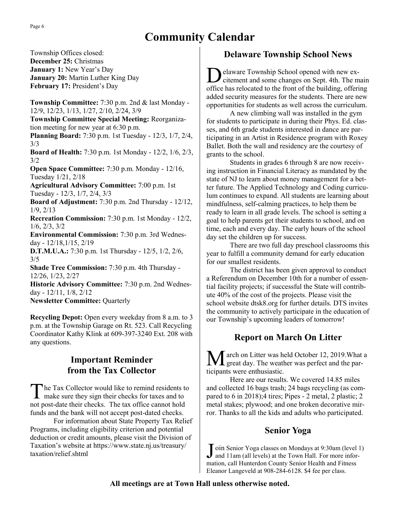# **Community Calendar**

Township Offices closed: **December 25:** Christmas **January 1:** New Year's Day **January 20:** Martin Luther King Day **February 17:** President's Day **Township Committee:** 7:30 p.m. 2nd & last Monday - 12/9, 12/23, 1/13, 1/27, 2/10, 2/24, 3/9 **Township Committee Special Meeting:** Reorganization meeting for new year at 6:30 p.m. **Planning Board:** 7:30 p.m. 1st Tuesday - 12/3, 1/7, 2/4, 3/3 **Board of Health:** 7:30 p.m. 1st Monday - 12/2, 1/6, 2/3, 3/2 **Open Space Committee:** 7:30 p.m. Monday - 12/16, Tuesday 1/21, 2/18 **Agricultural Advisory Committee:** 7:00 p.m. 1st Tuesday - 12/3, 1/7, 2/4, 3/3 **Board of Adjustment:** 7:30 p.m. 2nd Thursday - 12/12, 1/9, 2/13 **Recreation Commission:** 7:30 p.m. 1st Monday - 12/2, 1/6, 2/3, 3/2 **Environmental Commission:** 7:30 p.m. 3rd Wednesday - 12/18,1/15, 2/19 **D.T.M.U.A.:** 7:30 p.m. 1st Thursday - 12/5, 1/2, 2/6, 3/5 **Shade Tree Commission:** 7:30 p.m. 4th Thursday - 12/26, 1/23, 2/27 **Historic Advisory Committee:** 7:30 p.m. 2nd Wednesday - 12/11, 1/8, 2/12 **Newsletter Committee:** Quarterly

**Recycling Depot:** Open every weekday from 8 a.m. to 3 p.m. at the Township Garage on Rt. 523. Call Recycling Coordinator Kathy Klink at 609-397-3240 Ext. 208 with any questions.

# **Important Reminder from the Tax Collector**

The Tax Collector would like to remind residents t<br>make sure they sign their checks for taxes and to he Tax Collector would like to remind residents to not post-date their checks. The tax office cannot hold funds and the bank will not accept post-dated checks.

For information about State Property Tax Relief Programs, including eligibility criterion and potential deduction or credit amounts, please visit the Division of Taxation's website at https://www.state.nj.us/treasury/ taxation/relief.shtml

# **Delaware Township School News**

 $\overline{D}$ elaware Township School opened with new excitement and some changes on Sept. 4th. The main office has relocated to the front of the building, offering added security measures for the students. There are new opportunities for students as well across the curriculum.

A new climbing wall was installed in the gym for students to participate in during their Phys. Ed. classes, and 6th grade students interested in dance are participating in an Artist in Residence program with Roxey Ballet. Both the wall and residency are the courtesy of grants to the school.

Students in grades 6 through 8 are now receiving instruction in Financial Literacy as mandated by the state of NJ to learn about money management for a better future. The Applied Technology and Coding curriculum continues to expand. All students are learning about mindfulness, self-calming practices, to help them be ready to learn in all grade levels. The school is setting a goal to help parents get their students to school, and on time, each and every day. The early hours of the school day set the children up for success.

There are two full day preschool classrooms this year to fulfill a community demand for early education for our smallest residents.

The district has been given approval to conduct a Referendum on December 10th for a number of essential facility projects; if successful the State will contribute 40% of the cost of the projects. Please visit the school website dtsk8.org for further details. DTS invites the community to actively participate in the education of our Township's upcoming leaders of tomorrow!

# **Report on March On Litter**

arch on Litter was held October 12, 2019. What a great day. The weather was perfect and the participants were enthusiastic.

Here are our results. We covered 14.85 miles and collected 16 bags trash; 24 bags recycling (as compared to 6 in 2018);4 tires; Pipes - 2 metal, 2 plastic; 2 metal stakes; plywood; and one broken decorative mirror. Thanks to all the kids and adults who participated.

### **Senior Yoga**

Join Senior Yoga classes on Mondays at 9:30am (level<br>and 11am (all levels) at the Town Hall. For more infor<br>mation, call Hunterdon County Senior Health and Fitness oin Senior Yoga classes on Mondays at 9:30am (level 1) and 11am (all levels) at the Town Hall. For more infor-Eleanor Langeveld at 908-284-6128. \$4 fee per class.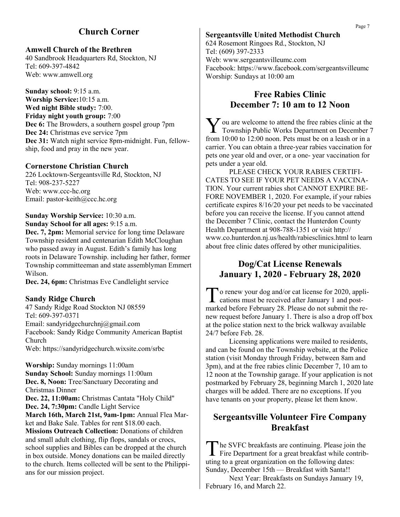### **Church Corner**

### **Amwell Church of the Brethren**

40 Sandbrook Headquarters Rd, Stockton, NJ Tel: 609-397-4842 Web: www.amwell.org

**Sunday school:** 9:15 a.m. **Worship Service:**10:15 a.m. **Wed night Bible study:** 7:00. **Friday night youth group:** 7:00 **Dec 6:** The Browders, a southern gospel group 7pm **Dec 24:** Christmas eve service 7pm **Dec 31:** Watch night service 8pm-midnight. Fun, fellowship, food and pray in the new year.

### **Cornerstone Christian Church**

226 Locktown-Sergeantsville Rd, Stockton, NJ Tel: 908-237-5227 Web: www.ccc-hc.org Email: pastor-keith@ccc.hc.org

#### **Sunday Worship Service:** 10:30 a.m. **Sunday School for all ages:** 9:15 a.m.

**Dec. 7, 2pm:** Memorial service for long time Delaware Township resident and centenarian Edith McCloughan who passed away in August. Edith's family has long roots in Delaware Township. including her father, former Township committeeman and state assemblyman Emmert Wilson.

**Dec. 24, 6pm:** Christmas Eve Candlelight service

### **Sandy Ridge Church**

47 Sandy Ridge Road Stockton NJ 08559 Tel: 609-397-0371 Email: sandyridgechurchnj@gmail.com Facebook: Sandy Ridge Community American Baptist Church Web: https://sandyridgechurch.wixsite.com/srbc

**Worship:** Sunday mornings 11:00am **Sunday School:** Sunday mornings 11:00am **Dec. 8, Noon:** Tree/Sanctuary Decorating and Christmas Dinner **Dec. 22, 11:00am:** Christmas Cantata "Holy Child" **Dec. 24, 7:30pm:** Candle Light Service **March 16th, March 21st, 9am-1pm:** Annual Flea Market and Bake Sale. Tables for rent \$18.00 each. **Missions Outreach Collection:** Donations of children and small adult clothing, flip flops, sandals or crocs,

school supplies and Bibles can be dropped at the church in box outside. Money donations can be mailed directly to the church. Items collected will be sent to the Philippians for our mission project.

### **Sergeantsville United Methodist Church**

624 Rosemont Ringoes Rd., Stockton, NJ Tel: (609) 397-2333 Web: www.sergeantsvilleumc.com Facebook: https://www.facebook.com/sergeantsvilleumc Worship: Sundays at 10:00 am

### **Free Rabies Clinic December 7: 10 am to 12 Noon**

V ou are welcome to attend the free rabies clinic at the Township Public Works Department on December 7 Township Public Works Department on December 7 from 10:00 to 12:00 noon. Pets must be on a leash or in a carrier. You can obtain a three-year rabies vaccination for pets one year old and over, or a one- year vaccination for pets under a year old.

PLEASE CHECK YOUR RABIES CERTIFI-CATES TO SEE IF YOUR PET NEEDS A VACCINA-TION. Your current rabies shot CANNOT EXPIRE BE-FORE NOVEMBER 1, 2020. For example, if your rabies certificate expires 8/16/20 your pet needs to be vaccinated before you can receive the license. If you cannot attend the December 7 Clinic, contact the Hunterdon County Health Department at 908-788-1351 or visit http:// www.co.hunterdon.nj.us/health/rabiesclinics.html to learn about free clinic dates offered by other municipalities.

### **Dog/Cat License Renewals January 1, 2020 - February 28, 2020**

T o renew your dog and/or cat license for 2020, applications must be received after January 1 and postmarked before February 28. Please do not submit the renew request before January 1. There is also a drop off box at the police station next to the brick walkway available 24/7 before Feb. 28.

Licensing applications were mailed to residents, and can be found on the Township website, at the Police station (visit Monday through Friday, between 8am and 3pm), and at the free rabies clinic December 7, 10 am to 12 noon at the Township garage. If your application is not postmarked by February 28, beginning March 1, 2020 late charges will be added. There are no exceptions. If you have tenants on your property, please let them know.

### **Sergeantsville Volunteer Fire Company Breakfast**

The SVFC breakfasts are continuing. Please join the Fire Department for a great breakfast while contribhe SVFC breakfasts are continuing. Please join the uting to a great organization on the following dates: Sunday, December 15th — Breakfast with Santa!!

Next Year: Breakfasts on Sundays January 19, February 16, and March 22.